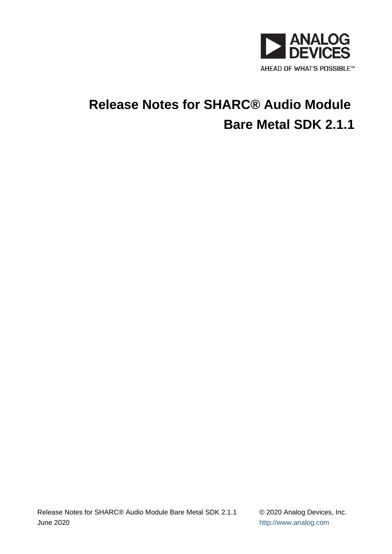

# **Release Notes for SHARC® Audio Module Bare Metal SDK 2.1.1**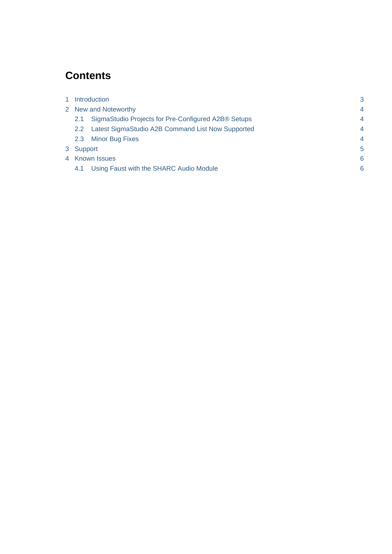# **Contents**

| Introduction         |                                                     | 3                        |
|----------------------|-----------------------------------------------------|--------------------------|
| 2 New and Noteworthy |                                                     | $\overline{4}$           |
| 2.1                  | SigmaStudio Projects for Pre-Configured A2B® Setups | $\overline{4}$           |
| $2.2^{\circ}$        | Latest SigmaStudio A2B Command List Now Supported   | $\overline{\mathcal{A}}$ |
| $2.3^{\circ}$        | <b>Minor Bug Fixes</b>                              | $\overline{4}$           |
| 3 Support            |                                                     | 5                        |
| 4 Known Issues       |                                                     | 6                        |
| 4.1                  | Using Faust with the SHARC Audio Module             | 6                        |
|                      |                                                     |                          |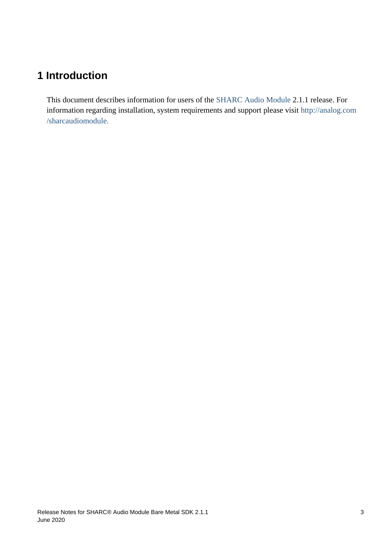# <span id="page-2-0"></span>**1 Introduction**

This document describes information for users of the [SHARC Audio Module](http://analog.com/sharcaudiomodule) 2.1.1 release. For information regarding installation, system requirements and support please visit [http://analog.com](http://analog.com/sharcaudiomodule) [/sharcaudiomodule.](http://analog.com/sharcaudiomodule)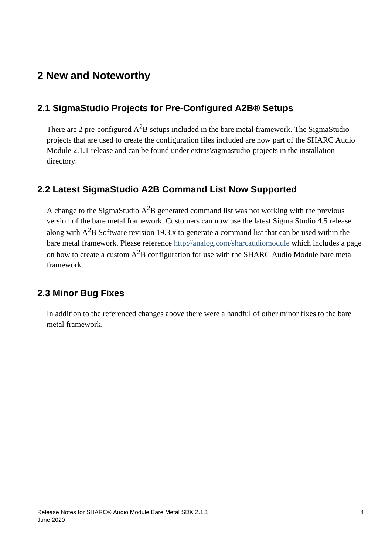## <span id="page-3-0"></span>**2 New and Noteworthy**

#### <span id="page-3-1"></span>**2.1 SigmaStudio Projects for Pre-Configured A2B® Setups**

There are 2 pre-configured  $A^2B$  setups included in the bare metal framework. The SigmaStudio projects that are used to create the configuration files included are now part of the SHARC Audio Module 2.1.1 release and can be found under extras\sigmastudio-projects in the installation directory.

#### <span id="page-3-2"></span>**2.2 Latest SigmaStudio A2B Command List Now Supported**

A change to the SigmaStudio  $A^2B$  generated command list was not working with the previous version of the bare metal framework. Customers can now use the latest Sigma Studio 4.5 release along with  $A^2B$  Software revision 19.3.x to generate a command list that can be used within the bare metal framework. Please reference<http://analog.com/sharcaudiomodule>which includes a page on how to create a custom  $A^2B$  configuration for use with the SHARC Audio Module bare metal framework.

#### <span id="page-3-3"></span>**2.3 Minor Bug Fixes**

In addition to the referenced changes above there were a handful of other minor fixes to the bare metal framework.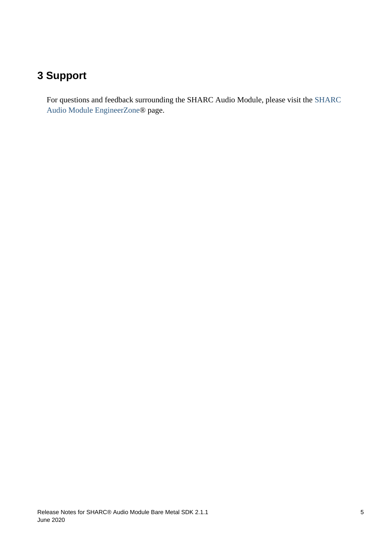# <span id="page-4-0"></span>**3 Support**

For questions and feedback surrounding the SHARC Audio Module, please visit the [SHARC](https://ez.analog.com/samboard)  [Audio Module EngineerZone](https://ez.analog.com/samboard)® page.